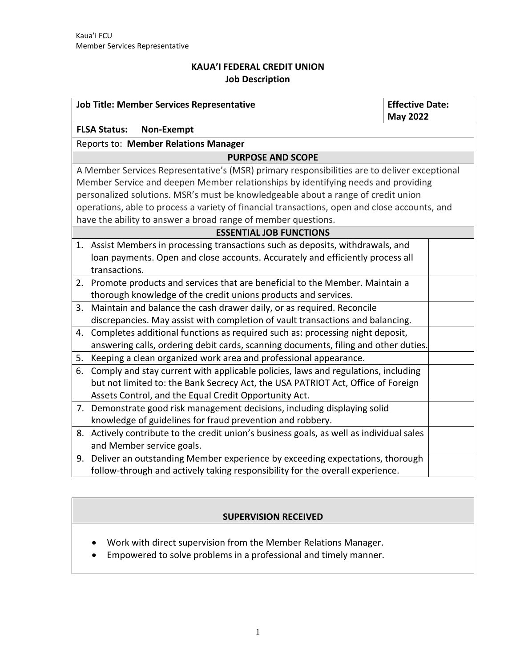# **KAUA'I FEDERAL CREDIT UNION Job Description**

| <b>Job Title: Member Services Representative</b>                                              | <b>Effective Date:</b> |
|-----------------------------------------------------------------------------------------------|------------------------|
|                                                                                               | <b>May 2022</b>        |
| <b>FLSA Status:</b><br>Non-Exempt                                                             |                        |
| Reports to: Member Relations Manager                                                          |                        |
| <b>PURPOSE AND SCOPE</b>                                                                      |                        |
| A Member Services Representative's (MSR) primary responsibilities are to deliver exceptional  |                        |
| Member Service and deepen Member relationships by identifying needs and providing             |                        |
| personalized solutions. MSR's must be knowledgeable about a range of credit union             |                        |
| operations, able to process a variety of financial transactions, open and close accounts, and |                        |
| have the ability to answer a broad range of member questions.                                 |                        |
| <b>ESSENTIAL JOB FUNCTIONS</b>                                                                |                        |
| 1. Assist Members in processing transactions such as deposits, withdrawals, and               |                        |
| loan payments. Open and close accounts. Accurately and efficiently process all                |                        |
| transactions.                                                                                 |                        |
| 2. Promote products and services that are beneficial to the Member. Maintain a                |                        |
| thorough knowledge of the credit unions products and services.                                |                        |
| Maintain and balance the cash drawer daily, or as required. Reconcile<br>3.                   |                        |
| discrepancies. May assist with completion of vault transactions and balancing.                |                        |
| 4. Completes additional functions as required such as: processing night deposit,              |                        |
| answering calls, ordering debit cards, scanning documents, filing and other duties.           |                        |
| 5. Keeping a clean organized work area and professional appearance.                           |                        |
| 6. Comply and stay current with applicable policies, laws and regulations, including          |                        |
| but not limited to: the Bank Secrecy Act, the USA PATRIOT Act, Office of Foreign              |                        |
| Assets Control, and the Equal Credit Opportunity Act.                                         |                        |
| 7. Demonstrate good risk management decisions, including displaying solid                     |                        |
| knowledge of guidelines for fraud prevention and robbery.                                     |                        |
| 8. Actively contribute to the credit union's business goals, as well as individual sales      |                        |
| and Member service goals.                                                                     |                        |
| Deliver an outstanding Member experience by exceeding expectations, thorough<br>9.            |                        |
| follow-through and actively taking responsibility for the overall experience.                 |                        |

# **SUPERVISION RECEIVED**

- Work with direct supervision from the Member Relations Manager.
- Empowered to solve problems in a professional and timely manner.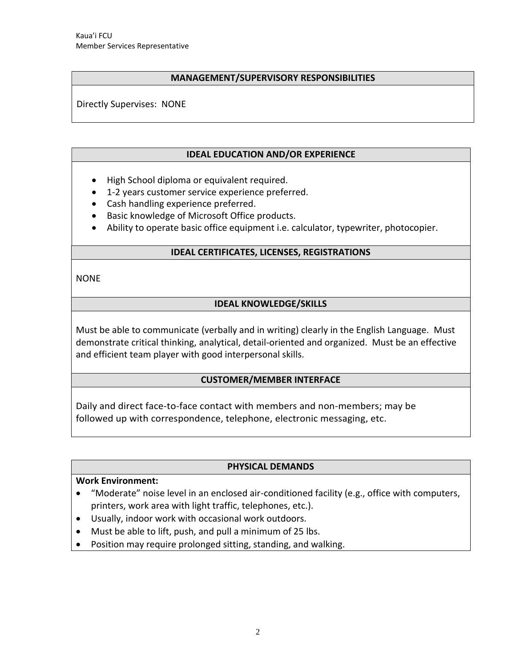#### **MANAGEMENT/SUPERVISORY RESPONSIBILITIES**

Directly Supervises: NONE

#### **IDEAL EDUCATION AND/OR EXPERIENCE**

- High School diploma or equivalent required.
- 1-2 years customer service experience preferred.
- Cash handling experience preferred.
- Basic knowledge of Microsoft Office products.
- Ability to operate basic office equipment i.e. calculator, typewriter, photocopier.

### **IDEAL CERTIFICATES, LICENSES, REGISTRATIONS**

NONE

## **IDEAL KNOWLEDGE/SKILLS**

Must be able to communicate (verbally and in writing) clearly in the English Language. Must demonstrate critical thinking, analytical, detail-oriented and organized. Must be an effective and efficient team player with good interpersonal skills.

### **CUSTOMER/MEMBER INTERFACE**

Daily and direct face-to-face contact with members and non-members; may be followed up with correspondence, telephone, electronic messaging, etc.

#### **PHYSICAL DEMANDS**

### **Work Environment:**

- "Moderate" noise level in an enclosed air-conditioned facility (e.g., office with computers, printers, work area with light traffic, telephones, etc.).
- Usually, indoor work with occasional work outdoors.
- Must be able to lift, push, and pull a minimum of 25 lbs.
- Position may require prolonged sitting, standing, and walking.